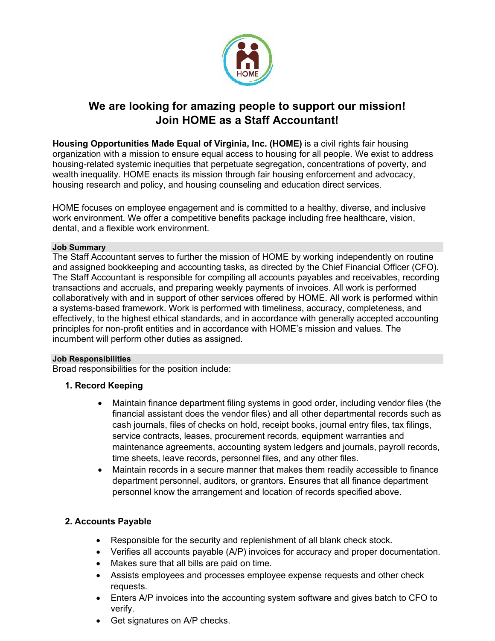

# **We are looking for amazing people to support our mission! Join HOME as a Staff Accountant!**

**Housing Opportunities Made Equal of Virginia, Inc. (HOME)** is a civil rights fair housing organization with a mission to ensure equal access to housing for all people. We exist to address housing-related systemic inequities that perpetuate segregation, concentrations of poverty, and wealth inequality. HOME enacts its mission through fair housing enforcement and advocacy, housing research and policy, and housing counseling and education direct services.

HOME focuses on employee engagement and is committed to a healthy, diverse, and inclusive work environment. We offer a competitive benefits package including free healthcare, vision, dental, and a flexible work environment.

#### **Job Summary**

The Staff Accountant serves to further the mission of HOME by working independently on routine and assigned bookkeeping and accounting tasks, as directed by the Chief Financial Officer (CFO). The Staff Accountant is responsible for compiling all accounts payables and receivables, recording transactions and accruals, and preparing weekly payments of invoices. All work is performed collaboratively with and in support of other services offered by HOME. All work is performed within a systems-based framework. Work is performed with timeliness, accuracy, completeness, and effectively, to the highest ethical standards, and in accordance with generally accepted accounting principles for non-profit entities and in accordance with HOME's mission and values. The incumbent will perform other duties as assigned.

### **Job Responsibilities**

Broad responsibilities for the position include:

# **1. Record Keeping**

- Maintain finance department filing systems in good order, including vendor files (the financial assistant does the vendor files) and all other departmental records such as cash journals, files of checks on hold, receipt books, journal entry files, tax filings, service contracts, leases, procurement records, equipment warranties and maintenance agreements, accounting system ledgers and journals, payroll records, time sheets, leave records, personnel files, and any other files.
- Maintain records in a secure manner that makes them readily accessible to finance department personnel, auditors, or grantors. Ensures that all finance department personnel know the arrangement and location of records specified above.

# **2. Accounts Payable**

- Responsible for the security and replenishment of all blank check stock.
- Verifies all accounts payable (A/P) invoices for accuracy and proper documentation.
- Makes sure that all bills are paid on time.
- Assists employees and processes employee expense requests and other check requests.
- Enters A/P invoices into the accounting system software and gives batch to CFO to verify.
- Get signatures on A/P checks.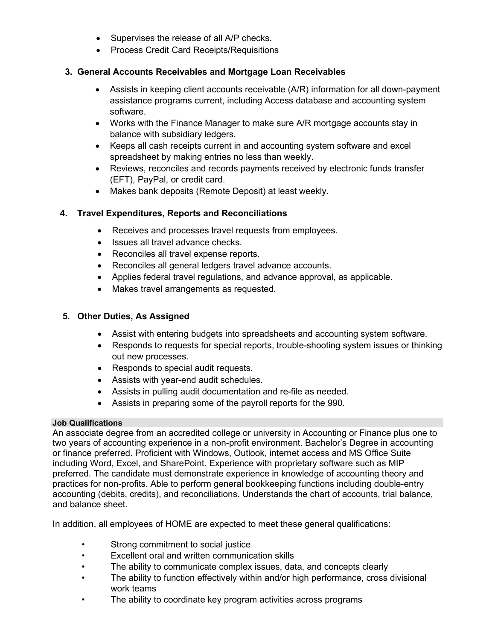- Supervises the release of all A/P checks.
- Process Credit Card Receipts/Requisitions

## **3. General Accounts Receivables and Mortgage Loan Receivables**

- Assists in keeping client accounts receivable (A/R) information for all down-payment assistance programs current, including Access database and accounting system software.
- Works with the Finance Manager to make sure A/R mortgage accounts stay in balance with subsidiary ledgers.
- Keeps all cash receipts current in and accounting system software and excel spreadsheet by making entries no less than weekly.
- Reviews, reconciles and records payments received by electronic funds transfer (EFT), PayPal, or credit card.
- Makes bank deposits (Remote Deposit) at least weekly.

## **4. Travel Expenditures, Reports and Reconciliations**

- Receives and processes travel requests from employees.
- Issues all travel advance checks.
- Reconciles all travel expense reports.
- Reconciles all general ledgers travel advance accounts.
- Applies federal travel regulations, and advance approval, as applicable.
- Makes travel arrangements as requested.

## **5. Other Duties, As Assigned**

- Assist with entering budgets into spreadsheets and accounting system software.
- Responds to requests for special reports, trouble-shooting system issues or thinking out new processes.
- Responds to special audit requests.
- Assists with year-end audit schedules.
- Assists in pulling audit documentation and re-file as needed.
- Assists in preparing some of the payroll reports for the 990.

#### **Job Qualifications**

An associate degree from an accredited college or university in Accounting or Finance plus one to two years of accounting experience in a non-profit environment. Bachelor's Degree in accounting or finance preferred. Proficient with Windows, Outlook, internet access and MS Office Suite including Word, Excel, and SharePoint. Experience with proprietary software such as MIP preferred. The candidate must demonstrate experience in knowledge of accounting theory and practices for non-profits. Able to perform general bookkeeping functions including double-entry accounting (debits, credits), and reconciliations. Understands the chart of accounts, trial balance, and balance sheet.

In addition, all employees of HOME are expected to meet these general qualifications:

- Strong commitment to social justice
- Excellent oral and written communication skills
- The ability to communicate complex issues, data, and concepts clearly
- The ability to function effectively within and/or high performance, cross divisional work teams
- The ability to coordinate key program activities across programs